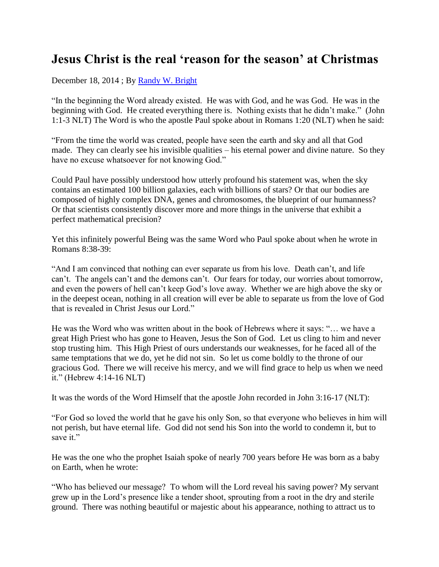## **Jesus Christ is the real 'reason for the season' at Christmas**

December 18, 2014 ; By [Randy W. Bright](http://www.tulsabeacon.com/author/slug-o6yd1v)

"In the beginning the Word already existed. He was with God, and he was God. He was in the beginning with God. He created everything there is. Nothing exists that he didn't make." (John 1:1-3 NLT) The Word is who the apostle Paul spoke about in Romans 1:20 (NLT) when he said:

"From the time the world was created, people have seen the earth and sky and all that God made. They can clearly see his invisible qualities – his eternal power and divine nature. So they have no excuse whatsoever for not knowing God."

Could Paul have possibly understood how utterly profound his statement was, when the sky contains an estimated 100 billion galaxies, each with billions of stars? Or that our bodies are composed of highly complex DNA, genes and chromosomes, the blueprint of our humanness? Or that scientists consistently discover more and more things in the universe that exhibit a perfect mathematical precision?

Yet this infinitely powerful Being was the same Word who Paul spoke about when he wrote in Romans 8:38-39:

"And I am convinced that nothing can ever separate us from his love. Death can't, and life can't. The angels can't and the demons can't. Our fears for today, our worries about tomorrow, and even the powers of hell can't keep God's love away. Whether we are high above the sky or in the deepest ocean, nothing in all creation will ever be able to separate us from the love of God that is revealed in Christ Jesus our Lord."

He was the Word who was written about in the book of Hebrews where it says: "… we have a great High Priest who has gone to Heaven, Jesus the Son of God. Let us cling to him and never stop trusting him. This High Priest of ours understands our weaknesses, for he faced all of the same temptations that we do, yet he did not sin. So let us come boldly to the throne of our gracious God. There we will receive his mercy, and we will find grace to help us when we need it." (Hebrew 4:14-16 NLT)

It was the words of the Word Himself that the apostle John recorded in John 3:16-17 (NLT):

"For God so loved the world that he gave his only Son, so that everyone who believes in him will not perish, but have eternal life. God did not send his Son into the world to condemn it, but to save it."

He was the one who the prophet Isaiah spoke of nearly 700 years before He was born as a baby on Earth, when he wrote:

"Who has believed our message? To whom will the Lord reveal his saving power? My servant grew up in the Lord's presence like a tender shoot, sprouting from a root in the dry and sterile ground. There was nothing beautiful or majestic about his appearance, nothing to attract us to